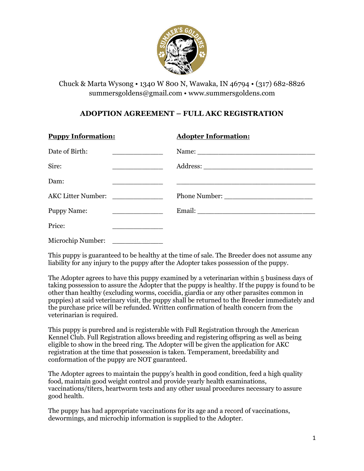

## Chuck & Marta Wysong • 1340 W 800 N, Wawaka, IN 46794 • (317) 682-8826 [summersgoldens@gmail.com](mailto:summersgoldens@gmail.com) • www.summersgoldens.com

## **ADOPTION AGREEMENT – FULL AKC REGISTRATION**

| <b>Puppy Information:</b>                                                                                                                                                                                                                              | <b>Adopter Information:</b> |
|--------------------------------------------------------------------------------------------------------------------------------------------------------------------------------------------------------------------------------------------------------|-----------------------------|
| Date of Birth:<br><u>and the company of the company of the company of the company of the company of the company of the company of the company of the company of the company of the company of the company of the company of the company of the com</u> | Name:                       |
| Sire:<br><u> 1986 - Johann Stein, mars an de France</u>                                                                                                                                                                                                |                             |
| Dam:                                                                                                                                                                                                                                                   |                             |
| AKC Litter Number: ______________                                                                                                                                                                                                                      | Phone Number:               |
| <b>Puppy Name:</b><br><u> 1980 - Johann Barn, mars eta bainar eta i</u>                                                                                                                                                                                |                             |
| Price:<br><u> 1989 - Johann Harry Harry Harry Harry Harry Harry Harry Harry Harry Harry Harry Harry Harry Harry Harry Harry Harry Harry Harry Harry Harry Harry Harry Harry Harry Harry Harry Harry Harry Harry Harry Harry Harry Harry Ha</u>         |                             |
| Microchip Number:                                                                                                                                                                                                                                      |                             |

This puppy is guaranteed to be healthy at the time of sale. The Breeder does not assume any liability for any injury to the puppy after the Adopter takes possession of the puppy.

The Adopter agrees to have this puppy examined by a veterinarian within 5 business days of taking possession to assure the Adopter that the puppy is healthy. If the puppy is found to be other than healthy (excluding worms, coccidia, giardia or any other parasites common in puppies) at said veterinary visit, the puppy shall be returned to the Breeder immediately and the purchase price will be refunded. Written confirmation of health concern from the veterinarian is required.

This puppy is purebred and is registerable with Full Registration through the American Kennel Club. Full Registration allows breeding and registering offspring as well as being eligible to show in the breed ring. The Adopter will be given the application for AKC registration at the time that possession is taken. Temperament, breedability and conformation of the puppy are NOT guaranteed.

The Adopter agrees to maintain the puppy's health in good condition, feed a high quality food, maintain good weight control and provide yearly health examinations, vaccinations/titers, heartworm tests and any other usual procedures necessary to assure good health.

The puppy has had appropriate vaccinations for its age and a record of vaccinations, dewormings, and microchip information is supplied to the Adopter.